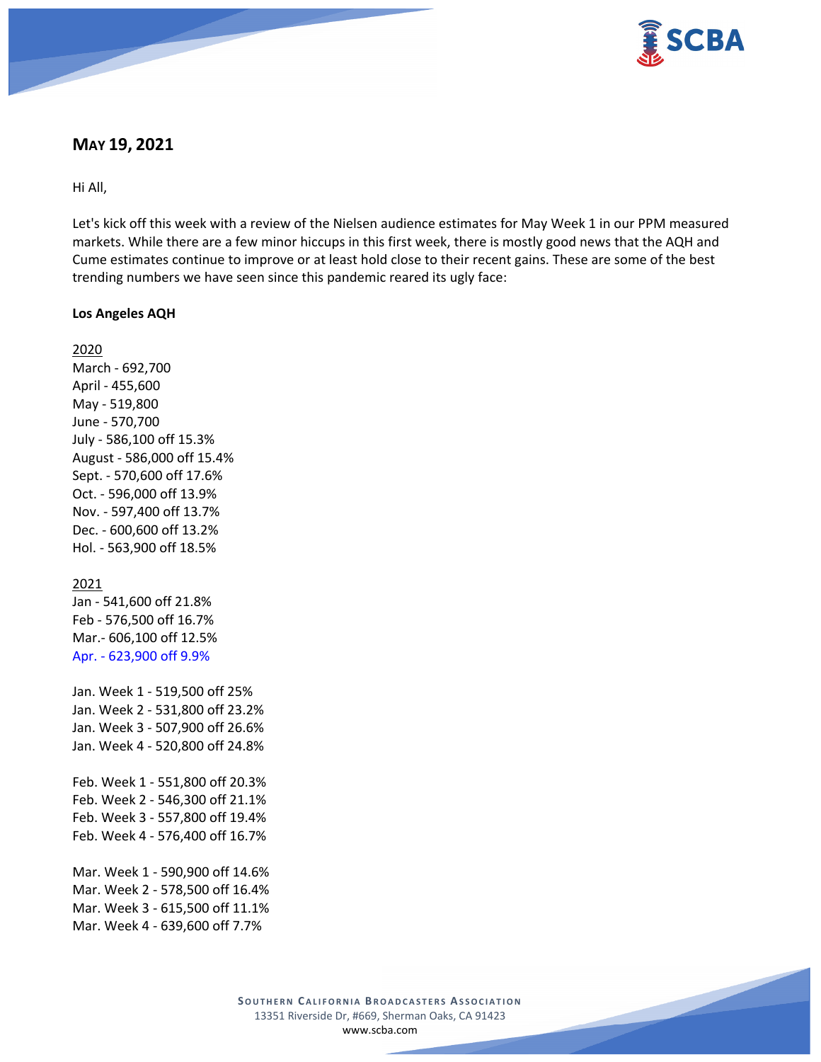

# **MAY 19, 2021**

Hi All,

Let's kick off this week with a review of the Nielsen audience estimates for May Week 1 in our PPM measured markets. While there are a few minor hiccups in this first week, there is mostly good news that the AQH and Cume estimates continue to improve or at least hold close to their recent gains. These are some of the best trending numbers we have seen since this pandemic reared its ugly face:

#### **Los Angeles AQH**

2020 March - 692,700 April - 455,600 May - 519,800 June - 570,700 July - 586,100 off 15.3% August - 586,000 off 15.4% Sept. - 570,600 off 17.6% Oct. - 596,000 off 13.9% Nov. - 597,400 off 13.7% Dec. - 600,600 off 13.2% Hol. - 563,900 off 18.5%

#### 2021

Jan - 541,600 off 21.8% Feb - 576,500 off 16.7% Mar.- 606,100 off 12.5% Apr. - 623,900 off 9.9%

Jan. Week 1 - 519,500 off 25% Jan. Week 2 - 531,800 off 23.2% Jan. Week 3 - 507,900 off 26.6% Jan. Week 4 - 520,800 off 24.8% Feb. Week 1 - 551,800 off 20.3% Feb. Week 2 - 546,300 off 21.1% Feb. Week 3 - 557,800 off 19.4% Feb. Week 4 - 576,400 off 16.7% Mar. Week 1 - 590,900 off 14.6% Mar. Week 2 - 578,500 off 16.4% Mar. Week 3 - 615,500 off 11.1%

Mar. Week 4 - 639,600 off 7.7%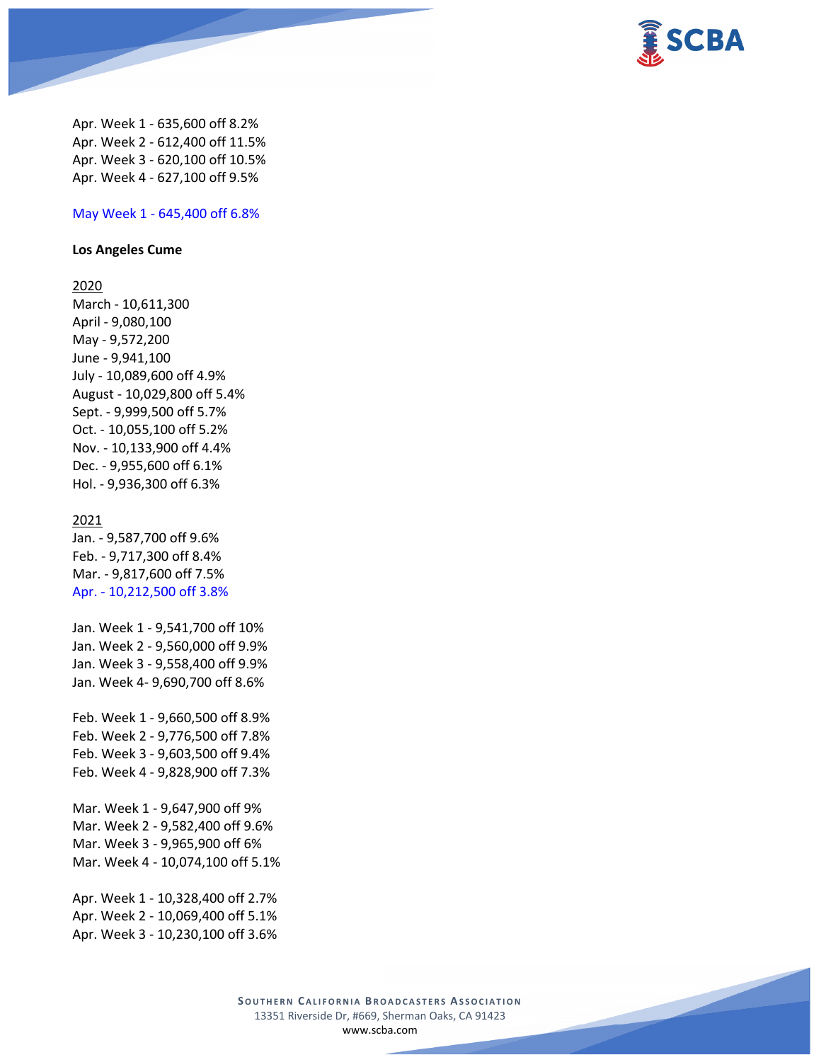

Apr. Week 1 - 635,600 off 8.2% Apr. Week 2 - 612,400 off 11.5% Apr. Week 3 - 620,100 off 10.5% Apr. Week 4 - 627,100 off 9.5%

### May Week 1 - 645,400 off 6.8%

#### **Los Angeles Cume**

## 2020

March - 10,611,300 April - 9,080,100 May - 9,572,200 June - 9,941,100 July - 10,089,600 off 4.9% August - 10,029,800 off 5.4% Sept. - 9,999,500 off 5.7% Oct. - 10,055,100 off 5.2% Nov. - 10,133,900 off 4.4% Dec. - 9,955,600 off 6.1% Hol. - 9,936,300 off 6.3%

#### 2021

Jan. - 9,587,700 off 9.6% Feb. - 9,717,300 off 8.4% Mar. - 9,817,600 off 7.5% Apr. - 10,212,500 off 3.8%

Jan. Week 1 - 9,541,700 off 10% Jan. Week 2 - 9,560,000 off 9.9% Jan. Week 3 - 9,558,400 off 9.9% Jan. Week 4- 9,690,700 off 8.6%

Feb. Week 1 - 9,660,500 off 8.9% Feb. Week 2 - 9,776,500 off 7.8% Feb. Week 3 - 9,603,500 off 9.4% Feb. Week 4 - 9,828,900 off 7.3%

Mar. Week 1 - 9,647,900 off 9% Mar. Week 2 - 9,582,400 off 9.6% Mar. Week 3 - 9,965,900 off 6% Mar. Week 4 - 10,074,100 off 5.1%

Apr. Week 1 - 10,328,400 off 2.7% Apr. Week 2 - 10,069,400 off 5.1% Apr. Week 3 - 10,230,100 off 3.6%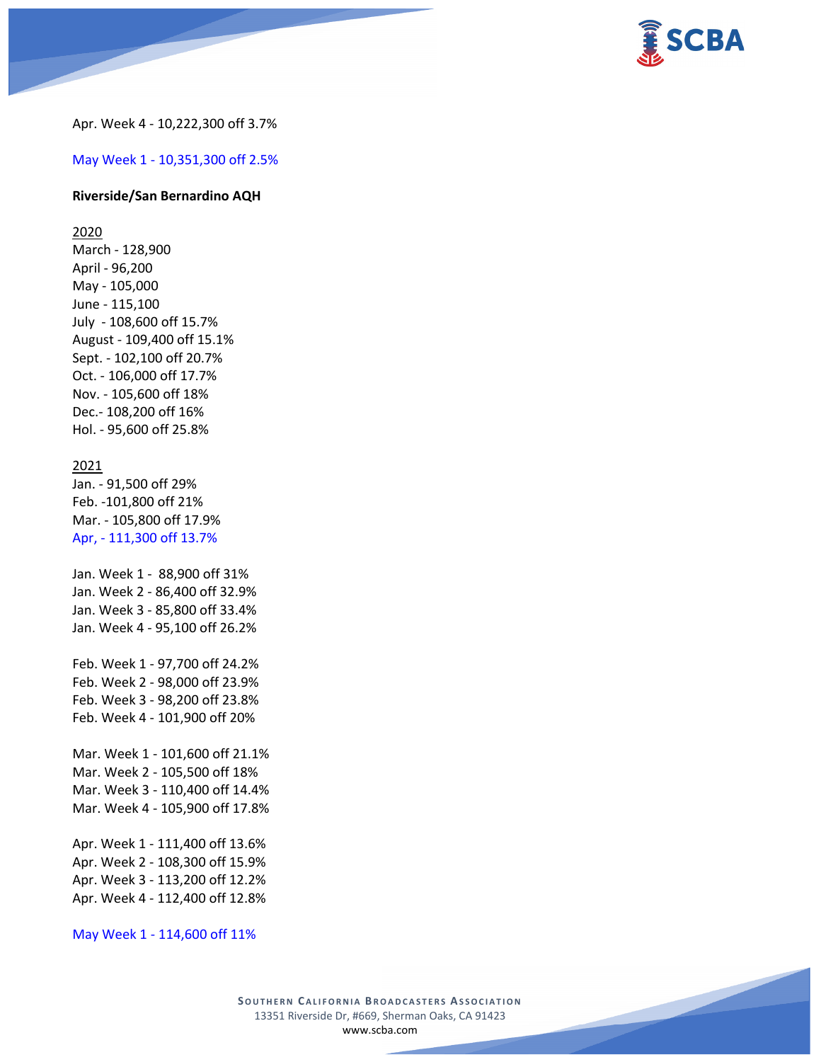

Apr. Week 4 - 10,222,300 off 3.7%

May Week 1 - 10,351,300 off 2.5%

#### **Riverside/San Bernardino AQH**

2020

March - 128,900 April - 96,200 May - 105,000 June - 115,100 July - 108,600 off 15.7% August - 109,400 off 15.1% Sept. - 102,100 off 20.7% Oct. - 106,000 off 17.7% Nov. - 105,600 off 18% Dec.- 108,200 off 16% Hol. - 95,600 off 25.8%

#### 2021

Jan. - 91,500 off 29% Feb. -101,800 off 21% Mar. - 105,800 off 17.9% Apr, - 111,300 off 13.7%

Jan. Week 1 - 88,900 off 31% Jan. Week 2 - 86,400 off 32.9% Jan. Week 3 - 85,800 off 33.4% Jan. Week 4 - 95,100 off 26.2%

Feb. Week 1 - 97,700 off 24.2% Feb. Week 2 - 98,000 off 23.9% Feb. Week 3 - 98,200 off 23.8% Feb. Week 4 - 101,900 off 20%

Mar. Week 1 - 101,600 off 21.1% Mar. Week 2 - 105,500 off 18% Mar. Week 3 - 110,400 off 14.4% Mar. Week 4 - 105,900 off 17.8%

Apr. Week 1 - 111,400 off 13.6% Apr. Week 2 - 108,300 off 15.9% Apr. Week 3 - 113,200 off 12.2% Apr. Week 4 - 112,400 off 12.8%

May Week 1 - 114,600 off 11%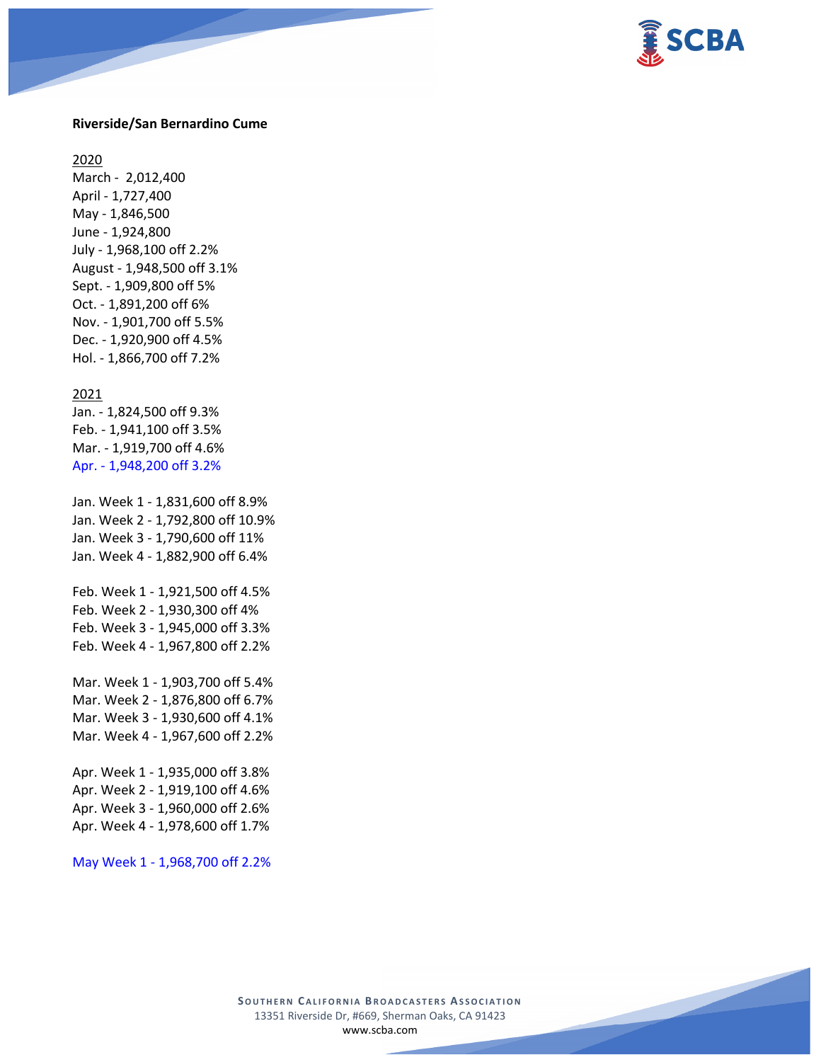

#### **Riverside/San Bernardino Cume**

2020

March - 2,012,400 April - 1,727,400 May - 1,846,500 June - 1,924,800 July - 1,968,100 off 2.2% August - 1,948,500 off 3.1% Sept. - 1,909,800 off 5% Oct. - 1,891,200 off 6% Nov. - 1,901,700 off 5.5% Dec. - 1,920,900 off 4.5% Hol. - 1,866,700 off 7.2%

#### 2021

Jan. - 1,824,500 off 9.3% Feb. - 1,941,100 off 3.5% Mar. - 1,919,700 off 4.6% Apr. - 1,948,200 off 3.2%

Jan. Week 1 - 1,831,600 off 8.9% Jan. Week 2 - 1,792,800 off 10.9% Jan. Week 3 - 1,790,600 off 11% Jan. Week 4 - 1,882,900 off 6.4%

Feb. Week 1 - 1,921,500 off 4.5% Feb. Week 2 - 1,930,300 off 4% Feb. Week 3 - 1,945,000 off 3.3% Feb. Week 4 - 1,967,800 off 2.2%

Mar. Week 1 - 1,903,700 off 5.4% Mar. Week 2 - 1,876,800 off 6.7% Mar. Week 3 - 1,930,600 off 4.1% Mar. Week 4 - 1,967,600 off 2.2%

Apr. Week 1 - 1,935,000 off 3.8% Apr. Week 2 - 1,919,100 off 4.6% Apr. Week 3 - 1,960,000 off 2.6% Apr. Week 4 - 1,978,600 off 1.7%

May Week 1 - 1,968,700 off 2.2%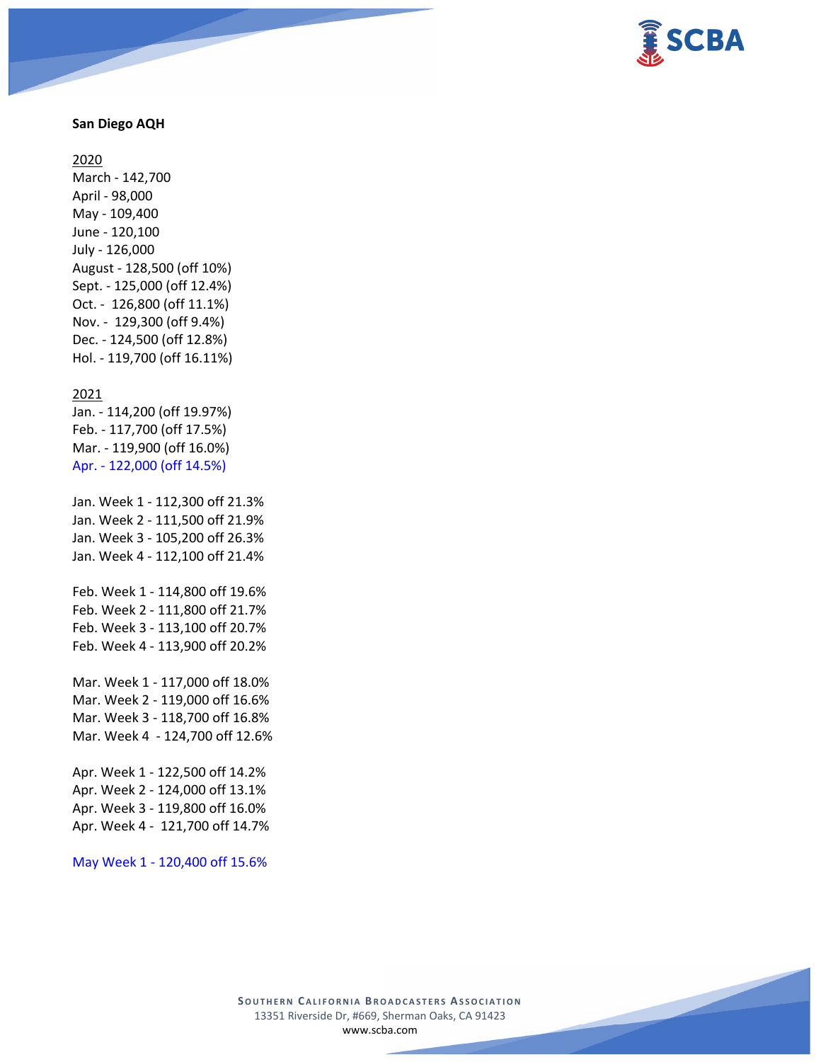

## **San Diego AQH**

#### 2020

March - 142,700 April - 98,000 May - 109,400 June - 120,100 July - 126,000 August - 128,500 (off 10%) Sept. - 125,000 (off 12.4%) Oct. - 126,800 (off 11.1%) Nov. - 129,300 (off 9.4%) Dec. - 124,500 (off 12.8%) Hol. - 119,700 (off 16.11%)

#### 2021

Jan. - 114,200 (off 19.97%) Feb. - 117,700 (off 17.5%) Mar. - 119,900 (off 16.0%) Apr. - 122,000 (off 14.5%)

Jan. Week 1 - 112,300 off 21.3% Jan. Week 2 - 111,500 off 21.9% Jan. Week 3 - 105,200 off 26.3% Jan. Week 4 - 112,100 off 21.4%

Feb. Week 1 - 114,800 off 19.6% Feb. Week 2 - 111,800 off 21.7% Feb. Week 3 - 113,100 off 20.7% Feb. Week 4 - 113,900 off 20.2%

Mar. Week 1 - 117,000 off 18.0% Mar. Week 2 - 119,000 off 16.6% Mar. Week 3 - 118,700 off 16.8% Mar. Week 4 - 124,700 off 12.6%

Apr. Week 1 - 122,500 off 14.2% Apr. Week 2 - 124,000 off 13.1% Apr. Week 3 - 119,800 off 16.0% Apr. Week 4 - 121,700 off 14.7%

May Week 1 - 120,400 off 15.6%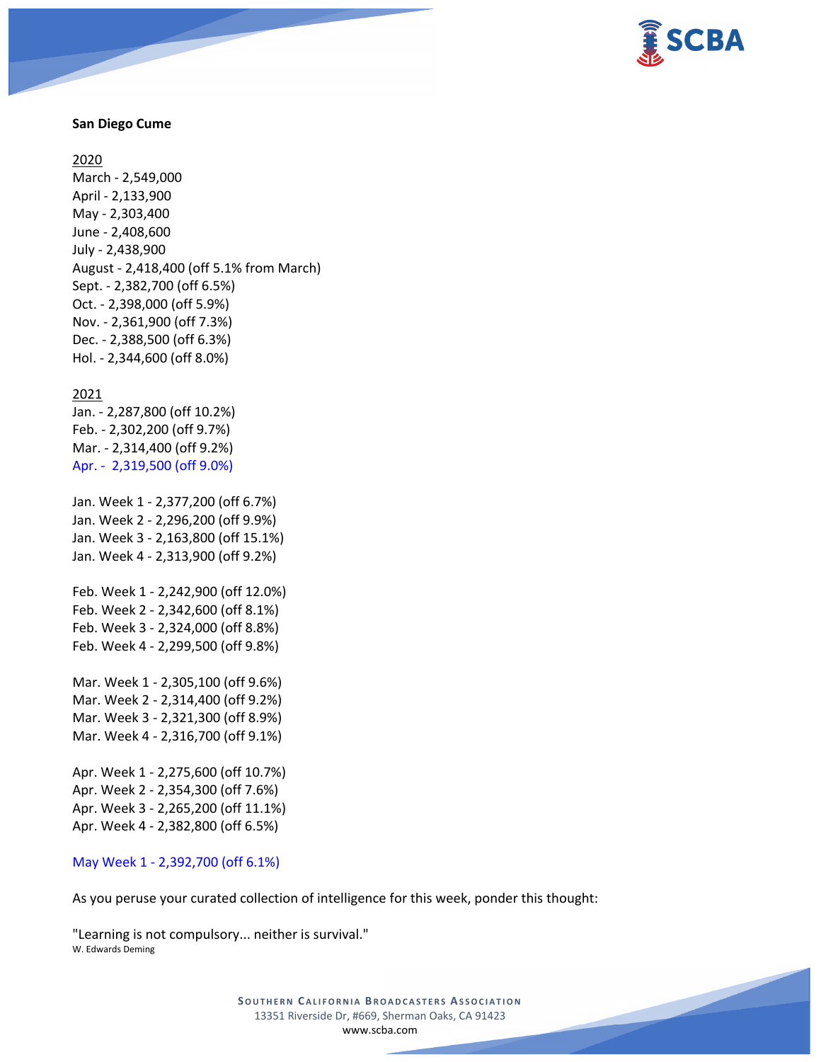

## **San Diego Cume**

2020

March - 2,549,000 April - 2,133,900 May - 2,303,400 June - 2,408,600 July - 2,438,900 August - 2,418,400 (off 5.1% from March) Sept. - 2,382,700 (off 6.5%) Oct. - 2,398,000 (off 5.9%) Nov. - 2,361,900 (off 7.3%) Dec. - 2,388,500 (off 6.3%) Hol. - 2,344,600 (off 8.0%)

#### 2021

Jan. - 2,287,800 (off 10.2%) Feb. - 2,302,200 (off 9.7%) Mar. - 2,314,400 (off 9.2%) Apr. - 2,319,500 (off 9.0%)

Jan. Week 1 - 2,377,200 (off 6.7%) Jan. Week 2 - 2,296,200 (off 9.9%) Jan. Week 3 - 2,163,800 (off 15.1%) Jan. Week 4 - 2,313,900 (off 9.2%)

Feb. Week 1 - 2,242,900 (off 12.0%) Feb. Week 2 - 2,342,600 (off 8.1%) Feb. Week 3 - 2,324,000 (off 8.8%) Feb. Week 4 - 2,299,500 (off 9.8%)

Mar. Week 1 - 2,305,100 (off 9.6%) Mar. Week 2 - 2,314,400 (off 9.2%) Mar. Week 3 - 2,321,300 (off 8.9%) Mar. Week 4 - 2,316,700 (off 9.1%)

Apr. Week 1 - 2,275,600 (off 10.7%) Apr. Week 2 - 2,354,300 (off 7.6%) Apr. Week 3 - 2,265,200 (off 11.1%) Apr. Week 4 - 2,382,800 (off 6.5%)

#### May Week 1 - 2,392,700 (off 6.1%)

As you peruse your curated collection of intelligence for this week, ponder this thought:

"Learning is not compulsory... neither is survival." W. Edwards Deming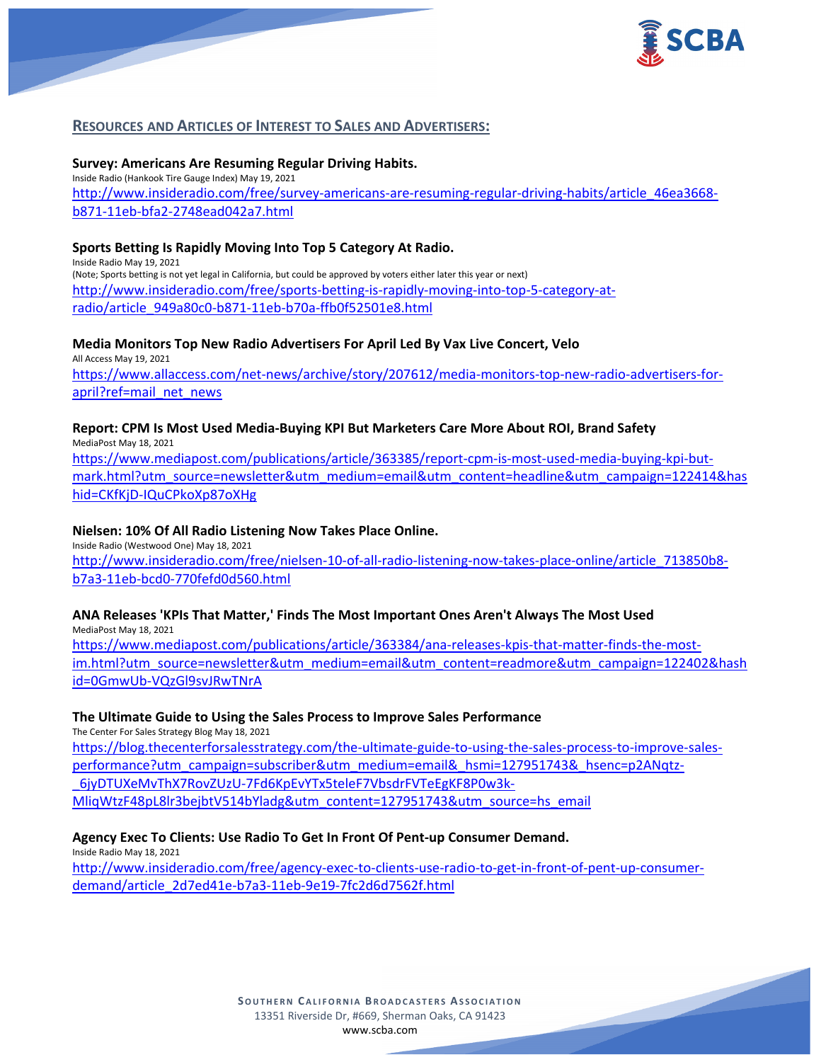

# **RESOURCES AND ARTICLES OF INTEREST TO SALES AND ADVERTISERS:**

**Survey: Americans Are Resuming Regular Driving Habits.** Inside Radio (Hankook Tire Gauge Index) May 19, 2021 [http://www.insideradio.com/free/survey-americans-are-resuming-regular-driving-habits/article\\_46ea3668](http://www.insideradio.com/free/survey-americans-are-resuming-regular-driving-habits/article_46ea3668-b871-11eb-bfa2-2748ead042a7.html) [b871-11eb-bfa2-2748ead042a7.html](http://www.insideradio.com/free/survey-americans-are-resuming-regular-driving-habits/article_46ea3668-b871-11eb-bfa2-2748ead042a7.html)

## **Sports Betting Is Rapidly Moving Into Top 5 Category At Radio.**

Inside Radio May 19, 2021 (Note; Sports betting is not yet legal in California, but could be approved by voters either later this year or next) [http://www.insideradio.com/free/sports-betting-is-rapidly-moving-into-top-5-category-at](http://www.insideradio.com/free/sports-betting-is-rapidly-moving-into-top-5-category-at-radio/article_949a80c0-b871-11eb-b70a-ffb0f52501e8.html)[radio/article\\_949a80c0-b871-11eb-b70a-ffb0f52501e8.html](http://www.insideradio.com/free/sports-betting-is-rapidly-moving-into-top-5-category-at-radio/article_949a80c0-b871-11eb-b70a-ffb0f52501e8.html)

#### **Media Monitors Top New Radio Advertisers For April Led By Vax Live Concert, Velo** All Access May 19, 2021

[https://www.allaccess.com/net-news/archive/story/207612/media-monitors-top-new-radio-advertisers-for](https://www.allaccess.com/net-news/archive/story/207612/media-monitors-top-new-radio-advertisers-for-april?ref=mail_net_news)[april?ref=mail\\_net\\_news](https://www.allaccess.com/net-news/archive/story/207612/media-monitors-top-new-radio-advertisers-for-april?ref=mail_net_news)

#### **Report: CPM Is Most Used Media-Buying KPI But Marketers Care More About ROI, Brand Safety** MediaPost May 18, 2021

[https://www.mediapost.com/publications/article/363385/report-cpm-is-most-used-media-buying-kpi-but](https://www.mediapost.com/publications/article/363385/report-cpm-is-most-used-media-buying-kpi-but-mark.html?utm_source=newsletter&utm_medium=email&utm_content=headline&utm_campaign=122414&hashid=CKfKjD-IQuCPkoXp87oXHg)[mark.html?utm\\_source=newsletter&utm\\_medium=email&utm\\_content=headline&utm\\_campaign=122414&has](https://www.mediapost.com/publications/article/363385/report-cpm-is-most-used-media-buying-kpi-but-mark.html?utm_source=newsletter&utm_medium=email&utm_content=headline&utm_campaign=122414&hashid=CKfKjD-IQuCPkoXp87oXHg) [hid=CKfKjD-IQuCPkoXp87oXHg](https://www.mediapost.com/publications/article/363385/report-cpm-is-most-used-media-buying-kpi-but-mark.html?utm_source=newsletter&utm_medium=email&utm_content=headline&utm_campaign=122414&hashid=CKfKjD-IQuCPkoXp87oXHg)

## **Nielsen: 10% Of All Radio Listening Now Takes Place Online.**

Inside Radio (Westwood One) May 18, 2021 [http://www.insideradio.com/free/nielsen-10-of-all-radio-listening-now-takes-place-online/article\\_713850b8](http://www.insideradio.com/free/nielsen-10-of-all-radio-listening-now-takes-place-online/article_713850b8-b7a3-11eb-bcd0-770fefd0d560.html) [b7a3-11eb-bcd0-770fefd0d560.html](http://www.insideradio.com/free/nielsen-10-of-all-radio-listening-now-takes-place-online/article_713850b8-b7a3-11eb-bcd0-770fefd0d560.html)

# **ANA Releases 'KPIs That Matter,' Finds The Most Important Ones Aren't Always The Most Used**

MediaPost May 18, 2021 [https://www.mediapost.com/publications/article/363384/ana-releases-kpis-that-matter-finds-the-most](https://www.mediapost.com/publications/article/363384/ana-releases-kpis-that-matter-finds-the-most-im.html?utm_source=newsletter&utm_medium=email&utm_content=readmore&utm_campaign=122402&hashid=0GmwUb-VQzGl9svJRwTNrA)[im.html?utm\\_source=newsletter&utm\\_medium=email&utm\\_content=readmore&utm\\_campaign=122402&hash](https://www.mediapost.com/publications/article/363384/ana-releases-kpis-that-matter-finds-the-most-im.html?utm_source=newsletter&utm_medium=email&utm_content=readmore&utm_campaign=122402&hashid=0GmwUb-VQzGl9svJRwTNrA) [id=0GmwUb-VQzGl9svJRwTNrA](https://www.mediapost.com/publications/article/363384/ana-releases-kpis-that-matter-finds-the-most-im.html?utm_source=newsletter&utm_medium=email&utm_content=readmore&utm_campaign=122402&hashid=0GmwUb-VQzGl9svJRwTNrA)

#### **The Ultimate Guide to Using the Sales Process to Improve Sales Performance**

The Center For Sales Strategy Blog May 18, 2021

[https://blog.thecenterforsalesstrategy.com/the-ultimate-guide-to-using-the-sales-process-to-improve-sales](https://blog.thecenterforsalesstrategy.com/the-ultimate-guide-to-using-the-sales-process-to-improve-sales-performance?utm_campaign=subscriber&utm_medium=email&_hsmi=127951743&_hsenc=p2ANqtz-_6jyDTUXeMvThX7RovZUzU-7Fd6KpEvYTx5teleF7VbsdrFVTeEgKF8P0w3k-MliqWtzF48pL8lr3bejbtV514bYladg&utm_content=127951743&utm_source=hs_email)[performance?utm\\_campaign=subscriber&utm\\_medium=email&\\_hsmi=127951743&\\_hsenc=p2ANqtz-](https://blog.thecenterforsalesstrategy.com/the-ultimate-guide-to-using-the-sales-process-to-improve-sales-performance?utm_campaign=subscriber&utm_medium=email&_hsmi=127951743&_hsenc=p2ANqtz-_6jyDTUXeMvThX7RovZUzU-7Fd6KpEvYTx5teleF7VbsdrFVTeEgKF8P0w3k-MliqWtzF48pL8lr3bejbtV514bYladg&utm_content=127951743&utm_source=hs_email) [\\_6jyDTUXeMvThX7RovZUzU-7Fd6KpEvYTx5teleF7VbsdrFVTeEgKF8P0w3k-](https://blog.thecenterforsalesstrategy.com/the-ultimate-guide-to-using-the-sales-process-to-improve-sales-performance?utm_campaign=subscriber&utm_medium=email&_hsmi=127951743&_hsenc=p2ANqtz-_6jyDTUXeMvThX7RovZUzU-7Fd6KpEvYTx5teleF7VbsdrFVTeEgKF8P0w3k-MliqWtzF48pL8lr3bejbtV514bYladg&utm_content=127951743&utm_source=hs_email)[MliqWtzF48pL8lr3bejbtV514bYladg&utm\\_content=127951743&utm\\_source=hs\\_email](https://blog.thecenterforsalesstrategy.com/the-ultimate-guide-to-using-the-sales-process-to-improve-sales-performance?utm_campaign=subscriber&utm_medium=email&_hsmi=127951743&_hsenc=p2ANqtz-_6jyDTUXeMvThX7RovZUzU-7Fd6KpEvYTx5teleF7VbsdrFVTeEgKF8P0w3k-MliqWtzF48pL8lr3bejbtV514bYladg&utm_content=127951743&utm_source=hs_email)

#### **Agency Exec To Clients: Use Radio To Get In Front Of Pent-up Consumer Demand.**

Inside Radio May 18, 2021 [http://www.insideradio.com/free/agency-exec-to-clients-use-radio-to-get-in-front-of-pent-up-consumer](http://www.insideradio.com/free/agency-exec-to-clients-use-radio-to-get-in-front-of-pent-up-consumer-demand/article_2d7ed41e-b7a3-11eb-9e19-7fc2d6d7562f.html)[demand/article\\_2d7ed41e-b7a3-11eb-9e19-7fc2d6d7562f.html](http://www.insideradio.com/free/agency-exec-to-clients-use-radio-to-get-in-front-of-pent-up-consumer-demand/article_2d7ed41e-b7a3-11eb-9e19-7fc2d6d7562f.html)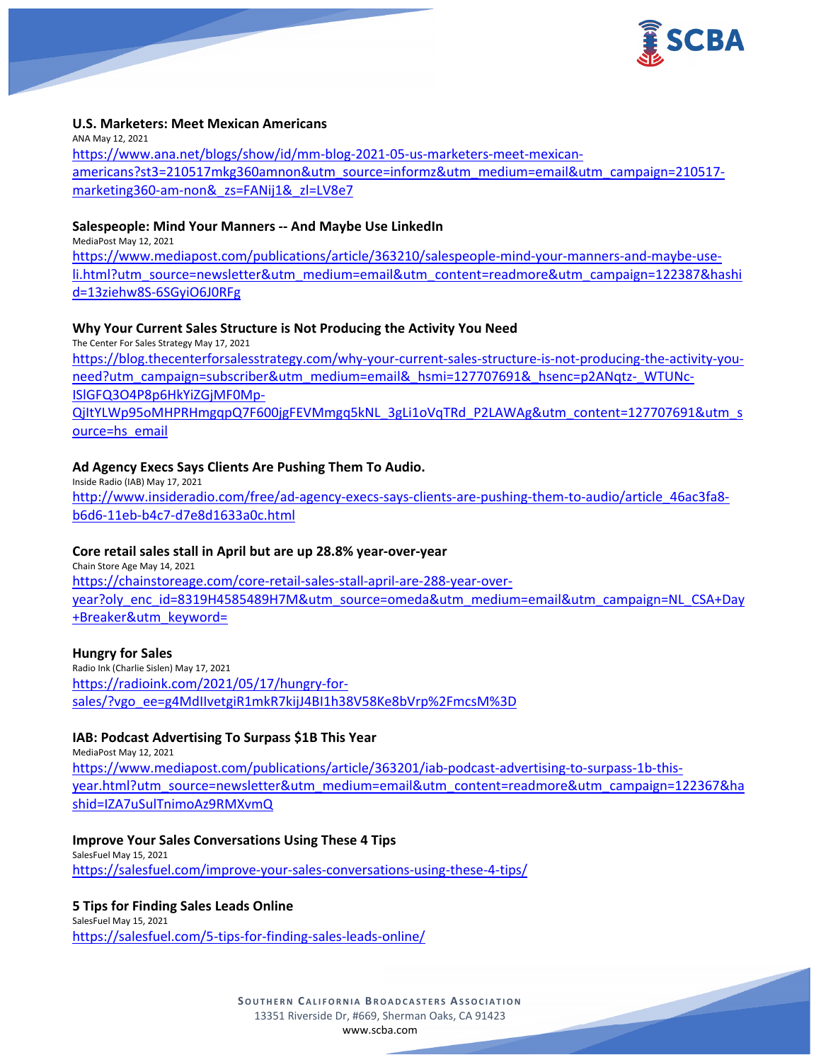

## **U.S. Marketers: Meet Mexican Americans**

ANA May 12, 2021 [https://www.ana.net/blogs/show/id/mm-blog-2021-05-us-marketers-meet-mexican](https://www.ana.net/blogs/show/id/mm-blog-2021-05-us-marketers-meet-mexican-americans?st3=210517mkg360amnon&utm_source=informz&utm_medium=email&utm_campaign=210517-marketing360-am-non&_zs=FANij1&_zl=LV8e7)[americans?st3=210517mkg360amnon&utm\\_source=informz&utm\\_medium=email&utm\\_campaign=210517](https://www.ana.net/blogs/show/id/mm-blog-2021-05-us-marketers-meet-mexican-americans?st3=210517mkg360amnon&utm_source=informz&utm_medium=email&utm_campaign=210517-marketing360-am-non&_zs=FANij1&_zl=LV8e7) [marketing360-am-non&\\_zs=FANij1&\\_zl=LV8e7](https://www.ana.net/blogs/show/id/mm-blog-2021-05-us-marketers-meet-mexican-americans?st3=210517mkg360amnon&utm_source=informz&utm_medium=email&utm_campaign=210517-marketing360-am-non&_zs=FANij1&_zl=LV8e7)

#### **Salespeople: Mind Your Manners -- And Maybe Use LinkedIn**

MediaPost May 12, 2021

[https://www.mediapost.com/publications/article/363210/salespeople-mind-your-manners-and-maybe-use](https://www.mediapost.com/publications/article/363210/salespeople-mind-your-manners-and-maybe-use-li.html?utm_source=newsletter&utm_medium=email&utm_content=readmore&utm_campaign=122387&hashid=13ziehw8S-6SGyiO6J0RFg)[li.html?utm\\_source=newsletter&utm\\_medium=email&utm\\_content=readmore&utm\\_campaign=122387&hashi](https://www.mediapost.com/publications/article/363210/salespeople-mind-your-manners-and-maybe-use-li.html?utm_source=newsletter&utm_medium=email&utm_content=readmore&utm_campaign=122387&hashid=13ziehw8S-6SGyiO6J0RFg) [d=13ziehw8S-6SGyiO6J0RFg](https://www.mediapost.com/publications/article/363210/salespeople-mind-your-manners-and-maybe-use-li.html?utm_source=newsletter&utm_medium=email&utm_content=readmore&utm_campaign=122387&hashid=13ziehw8S-6SGyiO6J0RFg)

# **Why Your Current Sales Structure is Not Producing the Activity You Need**

The Center For Sales Strategy May 17, 2021 [https://blog.thecenterforsalesstrategy.com/why-your-current-sales-structure-is-not-producing-the-activity-you](https://blog.thecenterforsalesstrategy.com/why-your-current-sales-structure-is-not-producing-the-activity-you-need?utm_campaign=subscriber&utm_medium=email&_hsmi=127707691&_hsenc=p2ANqtz-_WTUNc-ISlGFQ3O4P8p6HkYiZGjMF0Mp-QjItYLWp95oMHPRHmgqpQ7F600jgFEVMmgq5kNL_3gLi1oVqTRd_P2LAWAg&utm_content=127707691&utm_source=hs_email)[need?utm\\_campaign=subscriber&utm\\_medium=email&\\_hsmi=127707691&\\_hsenc=p2ANqtz-\\_WTUNc-](https://blog.thecenterforsalesstrategy.com/why-your-current-sales-structure-is-not-producing-the-activity-you-need?utm_campaign=subscriber&utm_medium=email&_hsmi=127707691&_hsenc=p2ANqtz-_WTUNc-ISlGFQ3O4P8p6HkYiZGjMF0Mp-QjItYLWp95oMHPRHmgqpQ7F600jgFEVMmgq5kNL_3gLi1oVqTRd_P2LAWAg&utm_content=127707691&utm_source=hs_email)[ISlGFQ3O4P8p6HkYiZGjMF0Mp-](https://blog.thecenterforsalesstrategy.com/why-your-current-sales-structure-is-not-producing-the-activity-you-need?utm_campaign=subscriber&utm_medium=email&_hsmi=127707691&_hsenc=p2ANqtz-_WTUNc-ISlGFQ3O4P8p6HkYiZGjMF0Mp-QjItYLWp95oMHPRHmgqpQ7F600jgFEVMmgq5kNL_3gLi1oVqTRd_P2LAWAg&utm_content=127707691&utm_source=hs_email)

[QjItYLWp95oMHPRHmgqpQ7F600jgFEVMmgq5kNL\\_3gLi1oVqTRd\\_P2LAWAg&utm\\_content=127707691&utm\\_s](https://blog.thecenterforsalesstrategy.com/why-your-current-sales-structure-is-not-producing-the-activity-you-need?utm_campaign=subscriber&utm_medium=email&_hsmi=127707691&_hsenc=p2ANqtz-_WTUNc-ISlGFQ3O4P8p6HkYiZGjMF0Mp-QjItYLWp95oMHPRHmgqpQ7F600jgFEVMmgq5kNL_3gLi1oVqTRd_P2LAWAg&utm_content=127707691&utm_source=hs_email) [ource=hs\\_email](https://blog.thecenterforsalesstrategy.com/why-your-current-sales-structure-is-not-producing-the-activity-you-need?utm_campaign=subscriber&utm_medium=email&_hsmi=127707691&_hsenc=p2ANqtz-_WTUNc-ISlGFQ3O4P8p6HkYiZGjMF0Mp-QjItYLWp95oMHPRHmgqpQ7F600jgFEVMmgq5kNL_3gLi1oVqTRd_P2LAWAg&utm_content=127707691&utm_source=hs_email)

#### **Ad Agency Execs Says Clients Are Pushing Them To Audio.**

Inside Radio (IAB) May 17, 2021 [http://www.insideradio.com/free/ad-agency-execs-says-clients-are-pushing-them-to-audio/article\\_46ac3fa8](http://www.insideradio.com/free/ad-agency-execs-says-clients-are-pushing-them-to-audio/article_46ac3fa8-b6d6-11eb-b4c7-d7e8d1633a0c.html) [b6d6-11eb-b4c7-d7e8d1633a0c.html](http://www.insideradio.com/free/ad-agency-execs-says-clients-are-pushing-them-to-audio/article_46ac3fa8-b6d6-11eb-b4c7-d7e8d1633a0c.html)

#### **Core retail sales stall in April but are up 28.8% year-over-year**

Chain Store Age May 14, 2021 [https://chainstoreage.com/core-retail-sales-stall-april-are-288-year-over](https://chainstoreage.com/core-retail-sales-stall-april-are-288-year-over-year?oly_enc_id=8319H4585489H7M&utm_source=omeda&utm_medium=email&utm_campaign=NL_CSA+Day+Breaker&utm_keyword=)[year?oly\\_enc\\_id=8319H4585489H7M&utm\\_source=omeda&utm\\_medium=email&utm\\_campaign=NL\\_CSA+Day](https://chainstoreage.com/core-retail-sales-stall-april-are-288-year-over-year?oly_enc_id=8319H4585489H7M&utm_source=omeda&utm_medium=email&utm_campaign=NL_CSA+Day+Breaker&utm_keyword=) [+Breaker&utm\\_keyword=](https://chainstoreage.com/core-retail-sales-stall-april-are-288-year-over-year?oly_enc_id=8319H4585489H7M&utm_source=omeda&utm_medium=email&utm_campaign=NL_CSA+Day+Breaker&utm_keyword=)

#### **Hungry for Sales**

Radio Ink (Charlie Sislen) May 17, 2021 [https://radioink.com/2021/05/17/hungry-for](https://radioink.com/2021/05/17/hungry-for-sales/?vgo_ee=g4MdIIvetgiR1mkR7kijJ4BI1h38V58Ke8bVrp%2FmcsM%3D)[sales/?vgo\\_ee=g4MdIIvetgiR1mkR7kijJ4BI1h38V58Ke8bVrp%2FmcsM%3D](https://radioink.com/2021/05/17/hungry-for-sales/?vgo_ee=g4MdIIvetgiR1mkR7kijJ4BI1h38V58Ke8bVrp%2FmcsM%3D)

# **IAB: Podcast Advertising To Surpass \$1B This Year**

MediaPost May 12, 2021 [https://www.mediapost.com/publications/article/363201/iab-podcast-advertising-to-surpass-1b-this](https://www.mediapost.com/publications/article/363201/iab-podcast-advertising-to-surpass-1b-this-year.html?utm_source=newsletter&utm_medium=email&utm_content=readmore&utm_campaign=122367&hashid=IZA7uSulTnimoAz9RMXvmQ)[year.html?utm\\_source=newsletter&utm\\_medium=email&utm\\_content=readmore&utm\\_campaign=122367&ha](https://www.mediapost.com/publications/article/363201/iab-podcast-advertising-to-surpass-1b-this-year.html?utm_source=newsletter&utm_medium=email&utm_content=readmore&utm_campaign=122367&hashid=IZA7uSulTnimoAz9RMXvmQ) [shid=IZA7uSulTnimoAz9RMXvmQ](https://www.mediapost.com/publications/article/363201/iab-podcast-advertising-to-surpass-1b-this-year.html?utm_source=newsletter&utm_medium=email&utm_content=readmore&utm_campaign=122367&hashid=IZA7uSulTnimoAz9RMXvmQ)

#### **Improve Your Sales Conversations Using These 4 Tips**

SalesFuel May 15, 2021 <https://salesfuel.com/improve-your-sales-conversations-using-these-4-tips/>

# **5 Tips for Finding Sales Leads Online**

SalesFuel May 15, 2021 <https://salesfuel.com/5-tips-for-finding-sales-leads-online/>

> **SOUTHERN CALIFORNIA BROADCASTERS ASSOCIATION** 13351 Riverside Dr, #669, Sherman Oaks, CA 91423 [www.scba.com](http://www.scba.com/)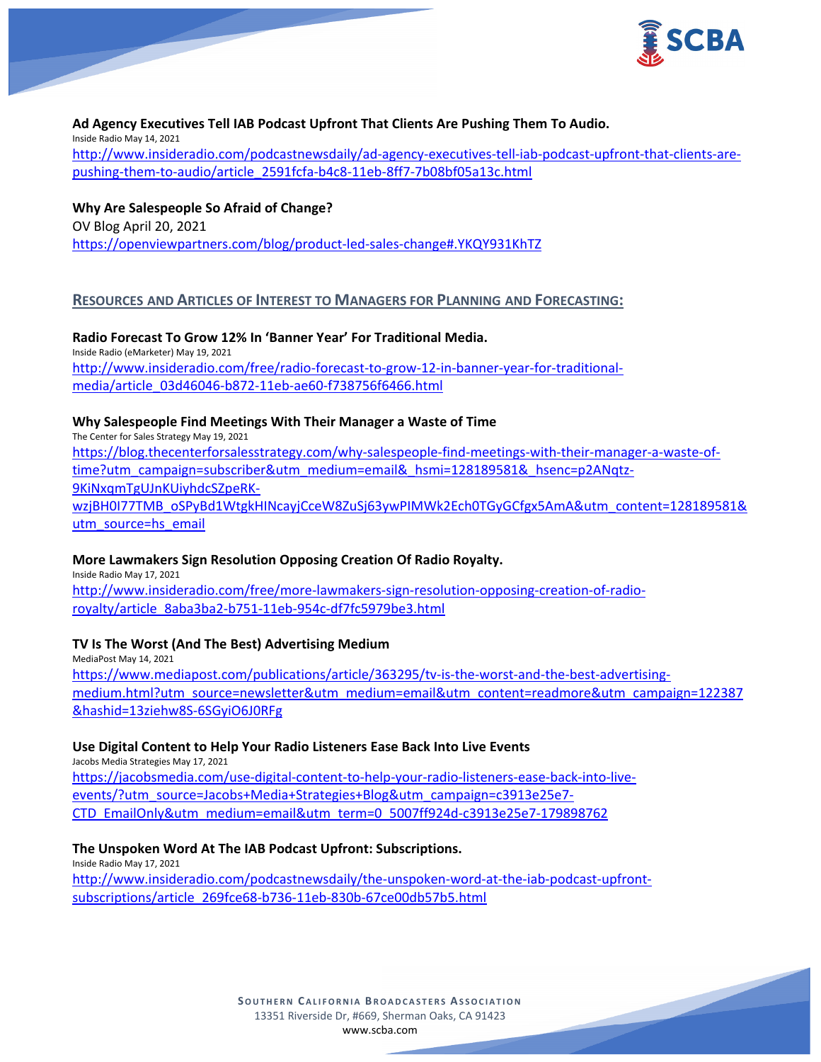

**Ad Agency Executives Tell IAB Podcast Upfront That Clients Are Pushing Them To Audio.** Inside Radio May 14, 2021 [http://www.insideradio.com/podcastnewsdaily/ad-agency-executives-tell-iab-podcast-upfront-that-clients-are](http://www.insideradio.com/podcastnewsdaily/ad-agency-executives-tell-iab-podcast-upfront-that-clients-are-pushing-them-to-audio/article_2591fcfa-b4c8-11eb-8ff7-7b08bf05a13c.html)[pushing-them-to-audio/article\\_2591fcfa-b4c8-11eb-8ff7-7b08bf05a13c.html](http://www.insideradio.com/podcastnewsdaily/ad-agency-executives-tell-iab-podcast-upfront-that-clients-are-pushing-them-to-audio/article_2591fcfa-b4c8-11eb-8ff7-7b08bf05a13c.html)

**Why Are Salespeople So Afraid of Change?** OV Blog April 20, 2021 <https://openviewpartners.com/blog/product-led-sales-change#.YKQY931KhTZ>

# **RESOURCES AND ARTICLES OF INTEREST TO MANAGERS FOR PLANNING AND FORECASTING:**

**Radio Forecast To Grow 12% In 'Banner Year' For Traditional Media.** Inside Radio (eMarketer) May 19, 2021 [http://www.insideradio.com/free/radio-forecast-to-grow-12-in-banner-year-for-traditional](http://www.insideradio.com/free/radio-forecast-to-grow-12-in-banner-year-for-traditional-media/article_03d46046-b872-11eb-ae60-f738756f6466.html)[media/article\\_03d46046-b872-11eb-ae60-f738756f6466.html](http://www.insideradio.com/free/radio-forecast-to-grow-12-in-banner-year-for-traditional-media/article_03d46046-b872-11eb-ae60-f738756f6466.html)

# **Why Salespeople Find Meetings With Their Manager a Waste of Time**

The Center for Sales Strategy May 19, 2021 [https://blog.thecenterforsalesstrategy.com/why-salespeople-find-meetings-with-their-manager-a-waste-of](https://blog.thecenterforsalesstrategy.com/why-salespeople-find-meetings-with-their-manager-a-waste-of-time?utm_campaign=subscriber&utm_medium=email&_hsmi=128189581&_hsenc=p2ANqtz-9KiNxqmTgUJnKUiyhdcSZpeRK-wzjBH0I77TMB_oSPyBd1WtgkHINcayjCceW8ZuSj63ywPIMWk2Ech0TGyGCfgx5AmA&utm_content=128189581&utm_source=hs_email)[time?utm\\_campaign=subscriber&utm\\_medium=email&\\_hsmi=128189581&\\_hsenc=p2ANqtz-](https://blog.thecenterforsalesstrategy.com/why-salespeople-find-meetings-with-their-manager-a-waste-of-time?utm_campaign=subscriber&utm_medium=email&_hsmi=128189581&_hsenc=p2ANqtz-9KiNxqmTgUJnKUiyhdcSZpeRK-wzjBH0I77TMB_oSPyBd1WtgkHINcayjCceW8ZuSj63ywPIMWk2Ech0TGyGCfgx5AmA&utm_content=128189581&utm_source=hs_email)[9KiNxqmTgUJnKUiyhdcSZpeRK](https://blog.thecenterforsalesstrategy.com/why-salespeople-find-meetings-with-their-manager-a-waste-of-time?utm_campaign=subscriber&utm_medium=email&_hsmi=128189581&_hsenc=p2ANqtz-9KiNxqmTgUJnKUiyhdcSZpeRK-wzjBH0I77TMB_oSPyBd1WtgkHINcayjCceW8ZuSj63ywPIMWk2Ech0TGyGCfgx5AmA&utm_content=128189581&utm_source=hs_email)[wzjBH0I77TMB\\_oSPyBd1WtgkHINcayjCceW8ZuSj63ywPIMWk2Ech0TGyGCfgx5AmA&utm\\_content=128189581&](https://blog.thecenterforsalesstrategy.com/why-salespeople-find-meetings-with-their-manager-a-waste-of-time?utm_campaign=subscriber&utm_medium=email&_hsmi=128189581&_hsenc=p2ANqtz-9KiNxqmTgUJnKUiyhdcSZpeRK-wzjBH0I77TMB_oSPyBd1WtgkHINcayjCceW8ZuSj63ywPIMWk2Ech0TGyGCfgx5AmA&utm_content=128189581&utm_source=hs_email) [utm\\_source=hs\\_email](https://blog.thecenterforsalesstrategy.com/why-salespeople-find-meetings-with-their-manager-a-waste-of-time?utm_campaign=subscriber&utm_medium=email&_hsmi=128189581&_hsenc=p2ANqtz-9KiNxqmTgUJnKUiyhdcSZpeRK-wzjBH0I77TMB_oSPyBd1WtgkHINcayjCceW8ZuSj63ywPIMWk2Ech0TGyGCfgx5AmA&utm_content=128189581&utm_source=hs_email)

#### **More Lawmakers Sign Resolution Opposing Creation Of Radio Royalty.**

Inside Radio May 17, 2021

[http://www.insideradio.com/free/more-lawmakers-sign-resolution-opposing-creation-of-radio](http://www.insideradio.com/free/more-lawmakers-sign-resolution-opposing-creation-of-radio-royalty/article_8aba3ba2-b751-11eb-954c-df7fc5979be3.html)[royalty/article\\_8aba3ba2-b751-11eb-954c-df7fc5979be3.html](http://www.insideradio.com/free/more-lawmakers-sign-resolution-opposing-creation-of-radio-royalty/article_8aba3ba2-b751-11eb-954c-df7fc5979be3.html)

# **TV Is The Worst (And The Best) Advertising Medium**

MediaPost May 14, 2021 [https://www.mediapost.com/publications/article/363295/tv-is-the-worst-and-the-best-advertising](https://www.mediapost.com/publications/article/363295/tv-is-the-worst-and-the-best-advertising-medium.html?utm_source=newsletter&utm_medium=email&utm_content=readmore&utm_campaign=122387&hashid=13ziehw8S-6SGyiO6J0RFg)[medium.html?utm\\_source=newsletter&utm\\_medium=email&utm\\_content=readmore&utm\\_campaign=122387](https://www.mediapost.com/publications/article/363295/tv-is-the-worst-and-the-best-advertising-medium.html?utm_source=newsletter&utm_medium=email&utm_content=readmore&utm_campaign=122387&hashid=13ziehw8S-6SGyiO6J0RFg) [&hashid=13ziehw8S-6SGyiO6J0RFg](https://www.mediapost.com/publications/article/363295/tv-is-the-worst-and-the-best-advertising-medium.html?utm_source=newsletter&utm_medium=email&utm_content=readmore&utm_campaign=122387&hashid=13ziehw8S-6SGyiO6J0RFg)

#### **Use Digital Content to Help Your Radio Listeners Ease Back Into Live Events**

Jacobs Media Strategies May 17, 2021

[https://jacobsmedia.com/use-digital-content-to-help-your-radio-listeners-ease-back-into-live](https://jacobsmedia.com/use-digital-content-to-help-your-radio-listeners-ease-back-into-live-events/?utm_source=Jacobs+Media+Strategies+Blog&utm_campaign=c3913e25e7-CTD_EmailOnly&utm_medium=email&utm_term=0_5007ff924d-c3913e25e7-179898762)[events/?utm\\_source=Jacobs+Media+Strategies+Blog&utm\\_campaign=c3913e25e7-](https://jacobsmedia.com/use-digital-content-to-help-your-radio-listeners-ease-back-into-live-events/?utm_source=Jacobs+Media+Strategies+Blog&utm_campaign=c3913e25e7-CTD_EmailOnly&utm_medium=email&utm_term=0_5007ff924d-c3913e25e7-179898762) [CTD\\_EmailOnly&utm\\_medium=email&utm\\_term=0\\_5007ff924d-c3913e25e7-179898762](https://jacobsmedia.com/use-digital-content-to-help-your-radio-listeners-ease-back-into-live-events/?utm_source=Jacobs+Media+Strategies+Blog&utm_campaign=c3913e25e7-CTD_EmailOnly&utm_medium=email&utm_term=0_5007ff924d-c3913e25e7-179898762)

#### **The Unspoken Word At The IAB Podcast Upfront: Subscriptions.**

Inside Radio May 17, 2021

[http://www.insideradio.com/podcastnewsdaily/the-unspoken-word-at-the-iab-podcast-upfront](http://www.insideradio.com/podcastnewsdaily/the-unspoken-word-at-the-iab-podcast-upfront-subscriptions/article_269fce68-b736-11eb-830b-67ce00db57b5.html)[subscriptions/article\\_269fce68-b736-11eb-830b-67ce00db57b5.html](http://www.insideradio.com/podcastnewsdaily/the-unspoken-word-at-the-iab-podcast-upfront-subscriptions/article_269fce68-b736-11eb-830b-67ce00db57b5.html)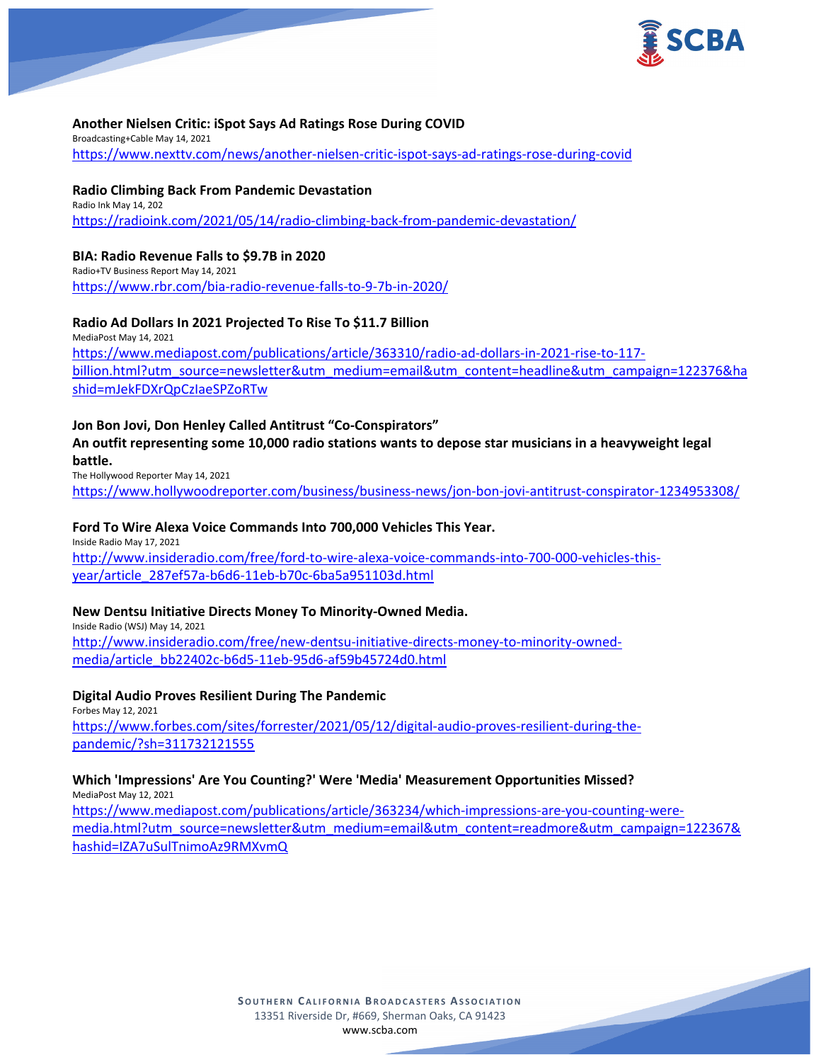

## **Another Nielsen Critic: iSpot Says Ad Ratings Rose During COVID**

Broadcasting+Cable May 14, 2021 <https://www.nexttv.com/news/another-nielsen-critic-ispot-says-ad-ratings-rose-during-covid>

### **Radio Climbing Back From Pandemic Devastation**

Radio Ink May 14, 202 <https://radioink.com/2021/05/14/radio-climbing-back-from-pandemic-devastation/>

## **BIA: Radio Revenue Falls to \$9.7B in 2020**

Radio+TV Business Report May 14, 2021 <https://www.rbr.com/bia-radio-revenue-falls-to-9-7b-in-2020/>

# **Radio Ad Dollars In 2021 Projected To Rise To \$11.7 Billion**

MediaPost May 14, 2021 [https://www.mediapost.com/publications/article/363310/radio-ad-dollars-in-2021-rise-to-117](https://www.mediapost.com/publications/article/363310/radio-ad-dollars-in-2021-rise-to-117-billion.html?utm_source=newsletter&utm_medium=email&utm_content=headline&utm_campaign=122376&hashid=mJekFDXrQpCzIaeSPZoRTw) [billion.html?utm\\_source=newsletter&utm\\_medium=email&utm\\_content=headline&utm\\_campaign=122376&ha](https://www.mediapost.com/publications/article/363310/radio-ad-dollars-in-2021-rise-to-117-billion.html?utm_source=newsletter&utm_medium=email&utm_content=headline&utm_campaign=122376&hashid=mJekFDXrQpCzIaeSPZoRTw) [shid=mJekFDXrQpCzIaeSPZoRTw](https://www.mediapost.com/publications/article/363310/radio-ad-dollars-in-2021-rise-to-117-billion.html?utm_source=newsletter&utm_medium=email&utm_content=headline&utm_campaign=122376&hashid=mJekFDXrQpCzIaeSPZoRTw)

# **Jon Bon Jovi, Don Henley Called Antitrust "Co-Conspirators"**

**An outfit representing some 10,000 radio stations wants to depose star musicians in a heavyweight legal battle.**

The Hollywood Reporter May 14, 2021

<https://www.hollywoodreporter.com/business/business-news/jon-bon-jovi-antitrust-conspirator-1234953308/>

## **Ford To Wire Alexa Voice Commands Into 700,000 Vehicles This Year.**

Inside Radio May 17, 2021 [http://www.insideradio.com/free/ford-to-wire-alexa-voice-commands-into-700-000-vehicles-this](http://www.insideradio.com/free/ford-to-wire-alexa-voice-commands-into-700-000-vehicles-this-year/article_287ef57a-b6d6-11eb-b70c-6ba5a951103d.html)[year/article\\_287ef57a-b6d6-11eb-b70c-6ba5a951103d.html](http://www.insideradio.com/free/ford-to-wire-alexa-voice-commands-into-700-000-vehicles-this-year/article_287ef57a-b6d6-11eb-b70c-6ba5a951103d.html)

# **New Dentsu Initiative Directs Money To Minority-Owned Media.**

Inside Radio (WSJ) May 14, 2021 [http://www.insideradio.com/free/new-dentsu-initiative-directs-money-to-minority-owned](http://www.insideradio.com/free/new-dentsu-initiative-directs-money-to-minority-owned-media/article_bb22402c-b6d5-11eb-95d6-af59b45724d0.html)[media/article\\_bb22402c-b6d5-11eb-95d6-af59b45724d0.html](http://www.insideradio.com/free/new-dentsu-initiative-directs-money-to-minority-owned-media/article_bb22402c-b6d5-11eb-95d6-af59b45724d0.html)

#### **Digital Audio Proves Resilient During The Pandemic**

Forbes May 12, 2021 [https://www.forbes.com/sites/forrester/2021/05/12/digital-audio-proves-resilient-during-the](https://www.forbes.com/sites/forrester/2021/05/12/digital-audio-proves-resilient-during-the-pandemic/?sh=311732121555)[pandemic/?sh=311732121555](https://www.forbes.com/sites/forrester/2021/05/12/digital-audio-proves-resilient-during-the-pandemic/?sh=311732121555)

#### **Which 'Impressions' Are You Counting?' Were 'Media' Measurement Opportunities Missed?** MediaPost May 12, 2021

[https://www.mediapost.com/publications/article/363234/which-impressions-are-you-counting-were](https://www.mediapost.com/publications/article/363234/which-impressions-are-you-counting-were-media.html?utm_source=newsletter&utm_medium=email&utm_content=readmore&utm_campaign=122367&hashid=IZA7uSulTnimoAz9RMXvmQ)[media.html?utm\\_source=newsletter&utm\\_medium=email&utm\\_content=readmore&utm\\_campaign=122367&](https://www.mediapost.com/publications/article/363234/which-impressions-are-you-counting-were-media.html?utm_source=newsletter&utm_medium=email&utm_content=readmore&utm_campaign=122367&hashid=IZA7uSulTnimoAz9RMXvmQ) [hashid=IZA7uSulTnimoAz9RMXvmQ](https://www.mediapost.com/publications/article/363234/which-impressions-are-you-counting-were-media.html?utm_source=newsletter&utm_medium=email&utm_content=readmore&utm_campaign=122367&hashid=IZA7uSulTnimoAz9RMXvmQ)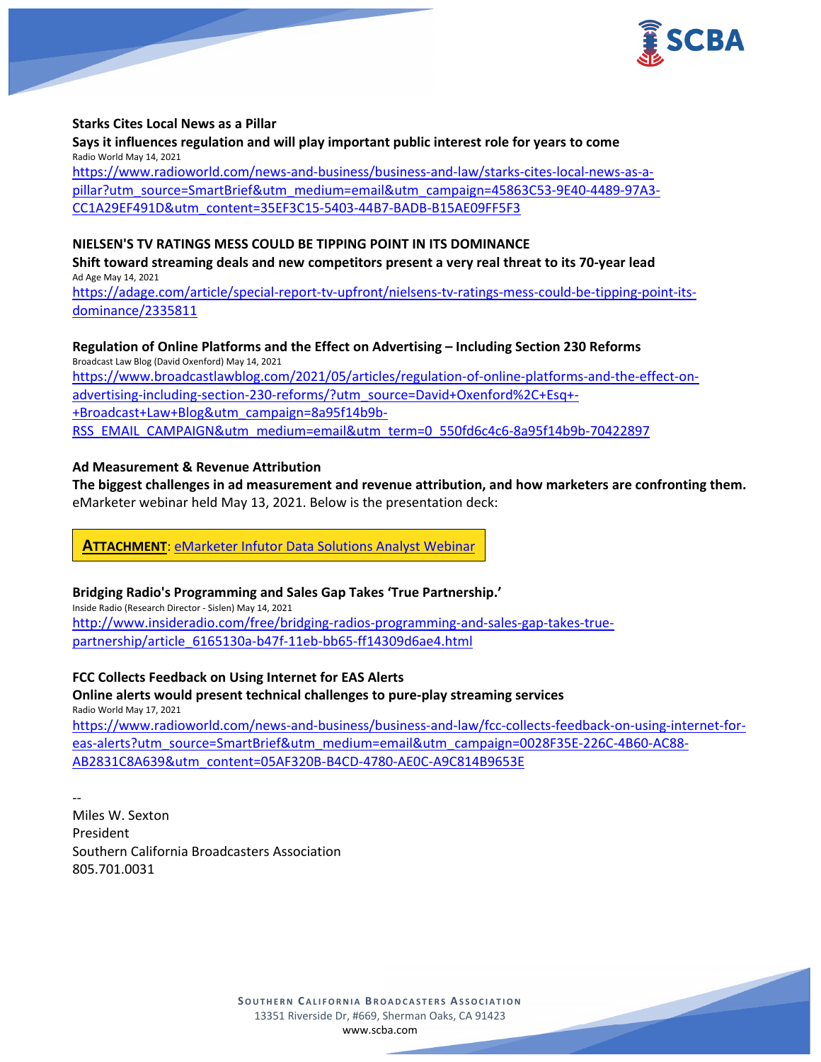

#### **Starks Cites Local News as a Pillar**

**Says it influences regulation and will play important public interest role for years to come** Radio World May 14, 2021 [https://www.radioworld.com/news-and-business/business-and-law/starks-cites-local-news-as-a](https://www.radioworld.com/news-and-business/business-and-law/starks-cites-local-news-as-a-pillar?utm_source=SmartBrief&utm_medium=email&utm_campaign=45863C53-9E40-4489-97A3-CC1A29EF491D&utm_content=35EF3C15-5403-44B7-BADB-B15AE09FF5F3)[pillar?utm\\_source=SmartBrief&utm\\_medium=email&utm\\_campaign=45863C53-9E40-4489-97A3-](https://www.radioworld.com/news-and-business/business-and-law/starks-cites-local-news-as-a-pillar?utm_source=SmartBrief&utm_medium=email&utm_campaign=45863C53-9E40-4489-97A3-CC1A29EF491D&utm_content=35EF3C15-5403-44B7-BADB-B15AE09FF5F3) [CC1A29EF491D&utm\\_content=35EF3C15-5403-44B7-BADB-B15AE09FF5F3](https://www.radioworld.com/news-and-business/business-and-law/starks-cites-local-news-as-a-pillar?utm_source=SmartBrief&utm_medium=email&utm_campaign=45863C53-9E40-4489-97A3-CC1A29EF491D&utm_content=35EF3C15-5403-44B7-BADB-B15AE09FF5F3)

## **NIELSEN'S TV RATINGS MESS COULD BE TIPPING POINT IN ITS DOMINANCE**

**Shift toward streaming deals and new competitors present a very real threat to its 70-year lead** Ad Age May 14, 2021

[https://adage.com/article/special-report-tv-upfront/nielsens-tv-ratings-mess-could-be-tipping-point-its](https://adage.com/article/special-report-tv-upfront/nielsens-tv-ratings-mess-could-be-tipping-point-its-dominance/2335811)[dominance/2335811](https://adage.com/article/special-report-tv-upfront/nielsens-tv-ratings-mess-could-be-tipping-point-its-dominance/2335811)

## **Regulation of Online Platforms and the Effect on Advertising – Including Section 230 Reforms**

Broadcast Law Blog (David Oxenford) May 14, 2021 [https://www.broadcastlawblog.com/2021/05/articles/regulation-of-online-platforms-and-the-effect-on](https://www.broadcastlawblog.com/2021/05/articles/regulation-of-online-platforms-and-the-effect-on-advertising-including-section-230-reforms/?utm_source=David+Oxenford%2C+Esq+-+Broadcast+Law+Blog&utm_campaign=8a95f14b9b-RSS_EMAIL_CAMPAIGN&utm_medium=email&utm_term=0_550fd6c4c6-8a95f14b9b-70422897)[advertising-including-section-230-reforms/?utm\\_source=David+Oxenford%2C+Esq+-](https://www.broadcastlawblog.com/2021/05/articles/regulation-of-online-platforms-and-the-effect-on-advertising-including-section-230-reforms/?utm_source=David+Oxenford%2C+Esq+-+Broadcast+Law+Blog&utm_campaign=8a95f14b9b-RSS_EMAIL_CAMPAIGN&utm_medium=email&utm_term=0_550fd6c4c6-8a95f14b9b-70422897) [+Broadcast+Law+Blog&utm\\_campaign=8a95f14b9b-](https://www.broadcastlawblog.com/2021/05/articles/regulation-of-online-platforms-and-the-effect-on-advertising-including-section-230-reforms/?utm_source=David+Oxenford%2C+Esq+-+Broadcast+Law+Blog&utm_campaign=8a95f14b9b-RSS_EMAIL_CAMPAIGN&utm_medium=email&utm_term=0_550fd6c4c6-8a95f14b9b-70422897)[RSS\\_EMAIL\\_CAMPAIGN&utm\\_medium=email&utm\\_term=0\\_550fd6c4c6-8a95f14b9b-70422897](https://www.broadcastlawblog.com/2021/05/articles/regulation-of-online-platforms-and-the-effect-on-advertising-including-section-230-reforms/?utm_source=David+Oxenford%2C+Esq+-+Broadcast+Law+Blog&utm_campaign=8a95f14b9b-RSS_EMAIL_CAMPAIGN&utm_medium=email&utm_term=0_550fd6c4c6-8a95f14b9b-70422897)

## **Ad Measurement & Revenue Attribution**

**The biggest challenges in ad measurement and revenue attribution, and how marketers are confronting them.** eMarketer webinar held May 13, 2021. Below is the presentation deck:

**ATTACHMENT**: [eMarketer Infutor Data Solutions Analyst Webinar](https://scba.com/emarketer_infutor_data_solutions_analyst_webinar_20210513/)

# **Bridging Radio's Programming and Sales Gap Takes 'True Partnership.'**

Inside Radio (Research Director - Sislen) May 14, 2021 [http://www.insideradio.com/free/bridging-radios-programming-and-sales-gap-takes-true](http://www.insideradio.com/free/bridging-radios-programming-and-sales-gap-takes-true-partnership/article_6165130a-b47f-11eb-bb65-ff14309d6ae4.html)[partnership/article\\_6165130a-b47f-11eb-bb65-ff14309d6ae4.html](http://www.insideradio.com/free/bridging-radios-programming-and-sales-gap-takes-true-partnership/article_6165130a-b47f-11eb-bb65-ff14309d6ae4.html)

**FCC Collects Feedback on Using Internet for EAS Alerts**

## **Online alerts would present technical challenges to pure-play streaming services** Radio World May 17, 2021

[https://www.radioworld.com/news-and-business/business-and-law/fcc-collects-feedback-on-using-internet-for](https://www.radioworld.com/news-and-business/business-and-law/fcc-collects-feedback-on-using-internet-for-eas-alerts?utm_source=SmartBrief&utm_medium=email&utm_campaign=0028F35E-226C-4B60-AC88-AB2831C8A639&utm_content=05AF320B-B4CD-4780-AE0C-A9C814B9653E)[eas-alerts?utm\\_source=SmartBrief&utm\\_medium=email&utm\\_campaign=0028F35E-226C-4B60-AC88-](https://www.radioworld.com/news-and-business/business-and-law/fcc-collects-feedback-on-using-internet-for-eas-alerts?utm_source=SmartBrief&utm_medium=email&utm_campaign=0028F35E-226C-4B60-AC88-AB2831C8A639&utm_content=05AF320B-B4CD-4780-AE0C-A9C814B9653E) [AB2831C8A639&utm\\_content=05AF320B-B4CD-4780-AE0C-A9C814B9653E](https://www.radioworld.com/news-and-business/business-and-law/fcc-collects-feedback-on-using-internet-for-eas-alerts?utm_source=SmartBrief&utm_medium=email&utm_campaign=0028F35E-226C-4B60-AC88-AB2831C8A639&utm_content=05AF320B-B4CD-4780-AE0C-A9C814B9653E)

-- Miles W. Sexton President Southern California Broadcasters Association 805.701.0031